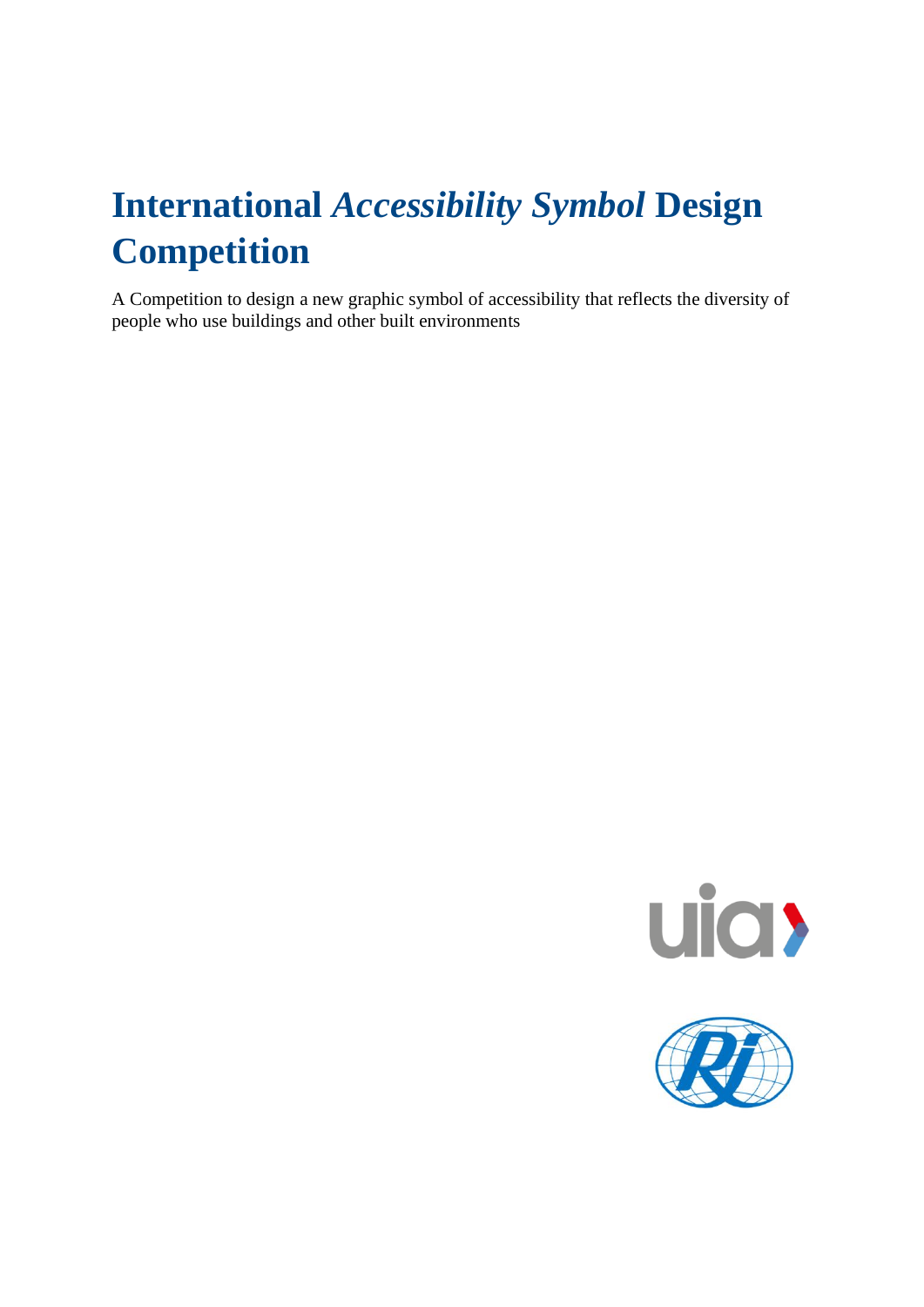# **International** *Accessibility Symbol* **Design Competition**

A Competition to design a new graphic symbol of accessibility that reflects the diversity of people who use buildings and other built environments



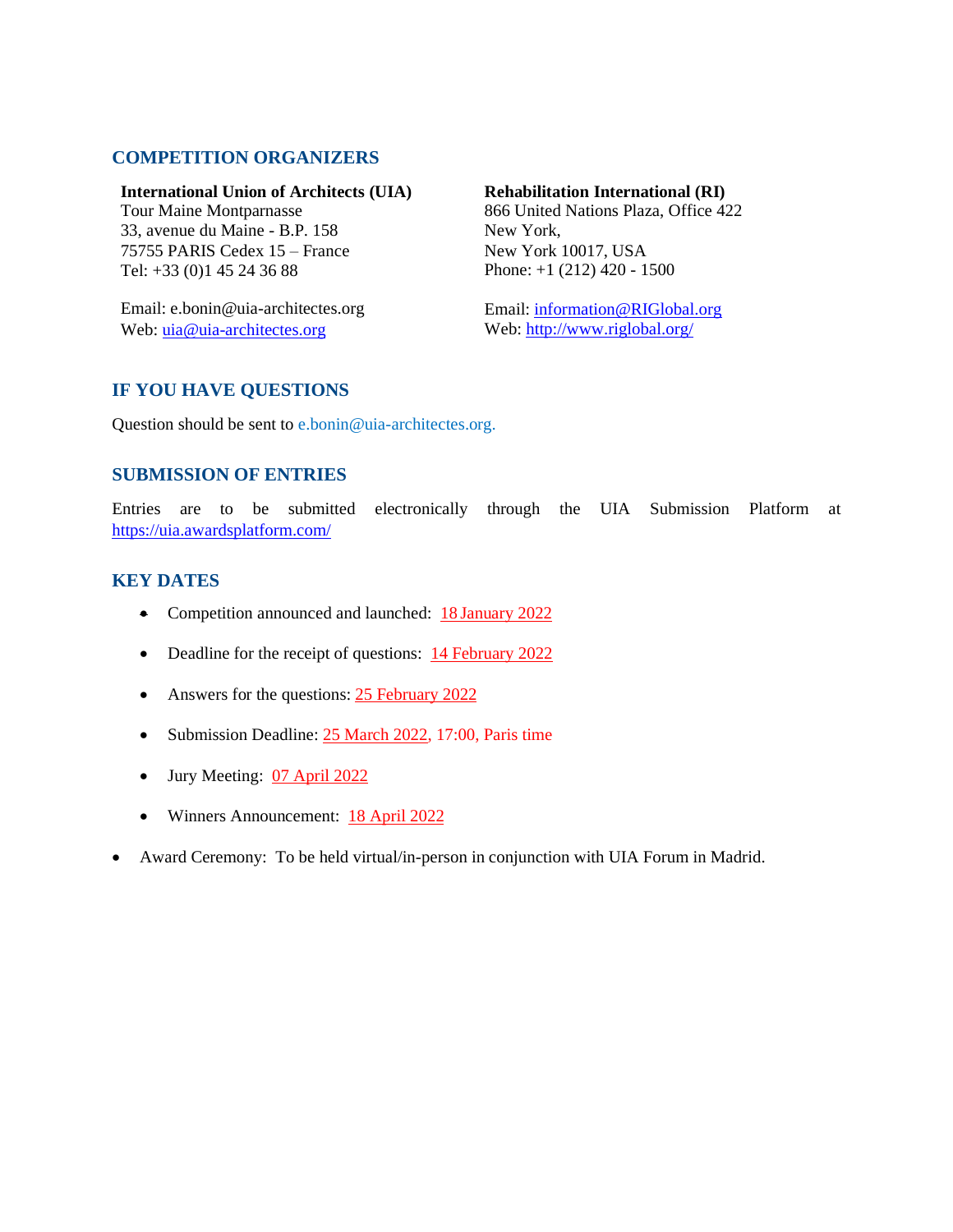## **COMPETITION ORGANIZERS**

#### **International Union of Architects (UIA)**

Tour Maine Montparnasse 33, avenue du Maine - B.P. 158 75755 PARIS Cedex 15 – France Tel: +33 (0)1 45 24 36 88

Email: e.bonin@uia-architectes.org Web: [uia@uia-architectes.org](mailto:uia@uia-architectes.org)

#### **Rehabilitation International (RI)**

866 United Nations Plaza, Office 422 New York, New York 10017, USA Phone: [+1 \(212\) 420 -](tel:+1%20(212)%20420%20-%201500) 1500

Email: [information@RIGlobal.org](mailto:information@RIGlobal.org) Web[: http://www.riglobal.org/](http://www.riglobal.org/)

# **IF YOU HAVE QUESTIONS**

Question should be sent to e.bonin@uia-architectes.org.

#### **SUBMISSION OF ENTRIES**

Entries are to be submitted electronically through the UIA Submission Platform at <https://uia.awardsplatform.com/>

#### **KEY DATES**

- Competition announced and launched: 18 January 2022
- Deadline for the receipt of questions: 14 February 2022
- Answers for the questions: 25 February 2022
- Submission Deadline: 25 March 2022, 17:00, Paris time
- Jury Meeting: 07 April 2022
- Winners Announcement: 18 April 2022
- Award Ceremony: To be held virtual/in-person in conjunction with UIA Forum in Madrid.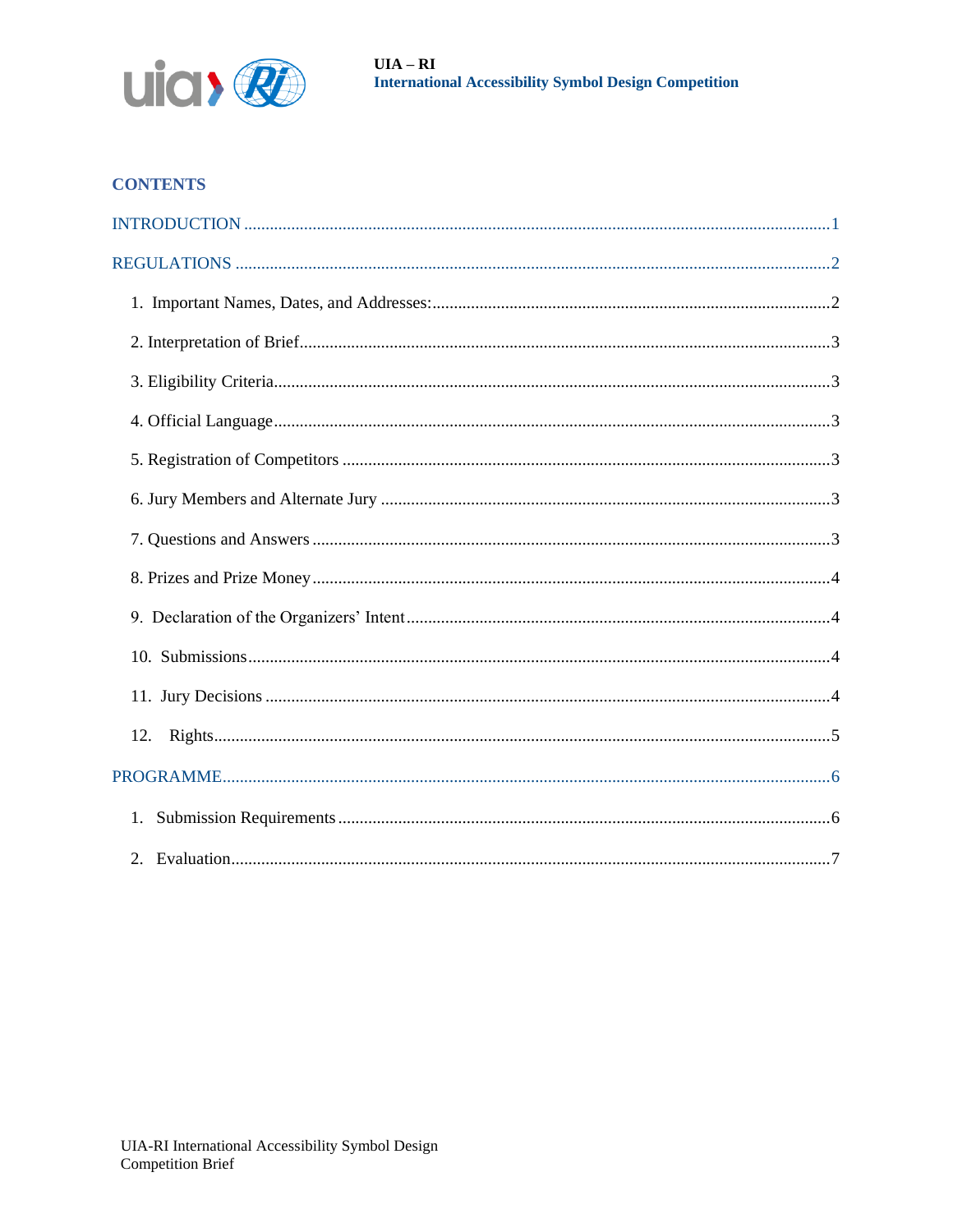

# **CONTENTS**

| 12. |  |
|-----|--|
|     |  |
| 1.  |  |
|     |  |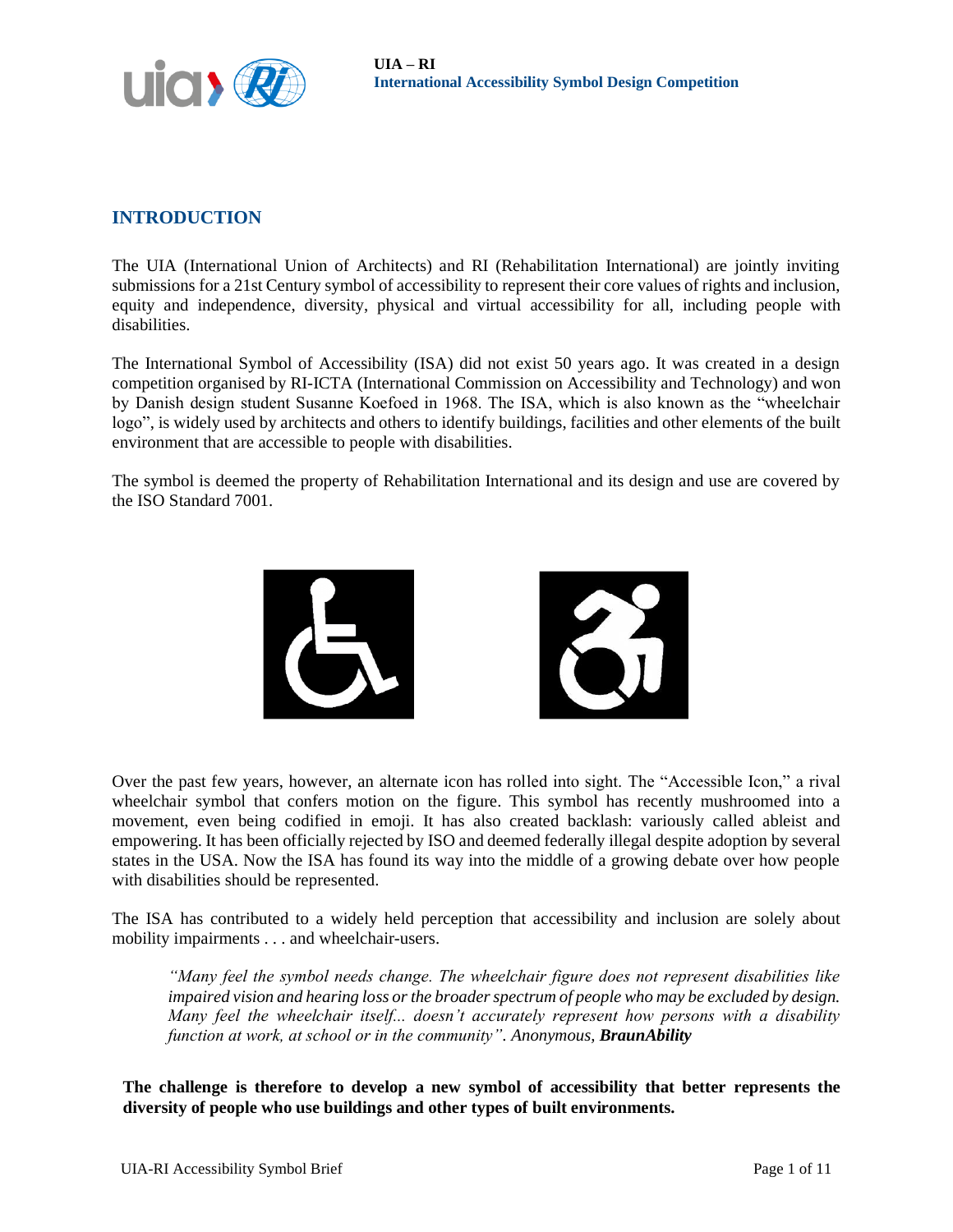

# <span id="page-3-0"></span>**INTRODUCTION**

The UIA (International Union of Architects) and RI (Rehabilitation International) are jointly inviting submissions for a 21st Century symbol of accessibility to represent their core values of rights and inclusion, equity and independence, diversity, physical and virtual accessibility for all, including people with disabilities.

The International Symbol of Accessibility (ISA) did not exist 50 years ago. It was created in a design competition organised by RI-ICTA (International Commission on Accessibility and Technology) and won by Danish design student Susanne Koefoed in 1968. The ISA, which is also known as the "wheelchair logo", is widely used by architects and others to identify buildings, facilities and other elements of the built environment that are accessible to people with disabilities.

The symbol is deemed the property of Rehabilitation International and its design and use are covered by the ISO Standard 7001.



Over the past few years, however, an alternate icon has rolled into sight. The "Accessible Icon," a rival wheelchair symbol that confers motion on the figure. This symbol has recently mushroomed into a movement, even being codified in emoji. It has also created backlash: variously called ableist and empowering. It has been officially rejected by ISO and deemed federally illegal despite adoption by several states in the USA. Now the ISA has found its way into the middle of a growing debate over how people with disabilities should be represented.

The ISA has contributed to a widely held perception that accessibility and inclusion are solely about mobility impairments . . . and wheelchair-users.

*"Many feel the symbol needs change. The wheelchair figure does not represent disabilities like impaired vision and hearing loss or the broader spectrum of people who may be excluded by design. Many feel the wheelchair itself... doesn't accurately represent how persons with a disability function at work, at school or in the community". Anonymous, BraunAbility*

**The challenge is therefore to develop a new symbol of accessibility that better represents the diversity of people who use buildings and other types of built environments.**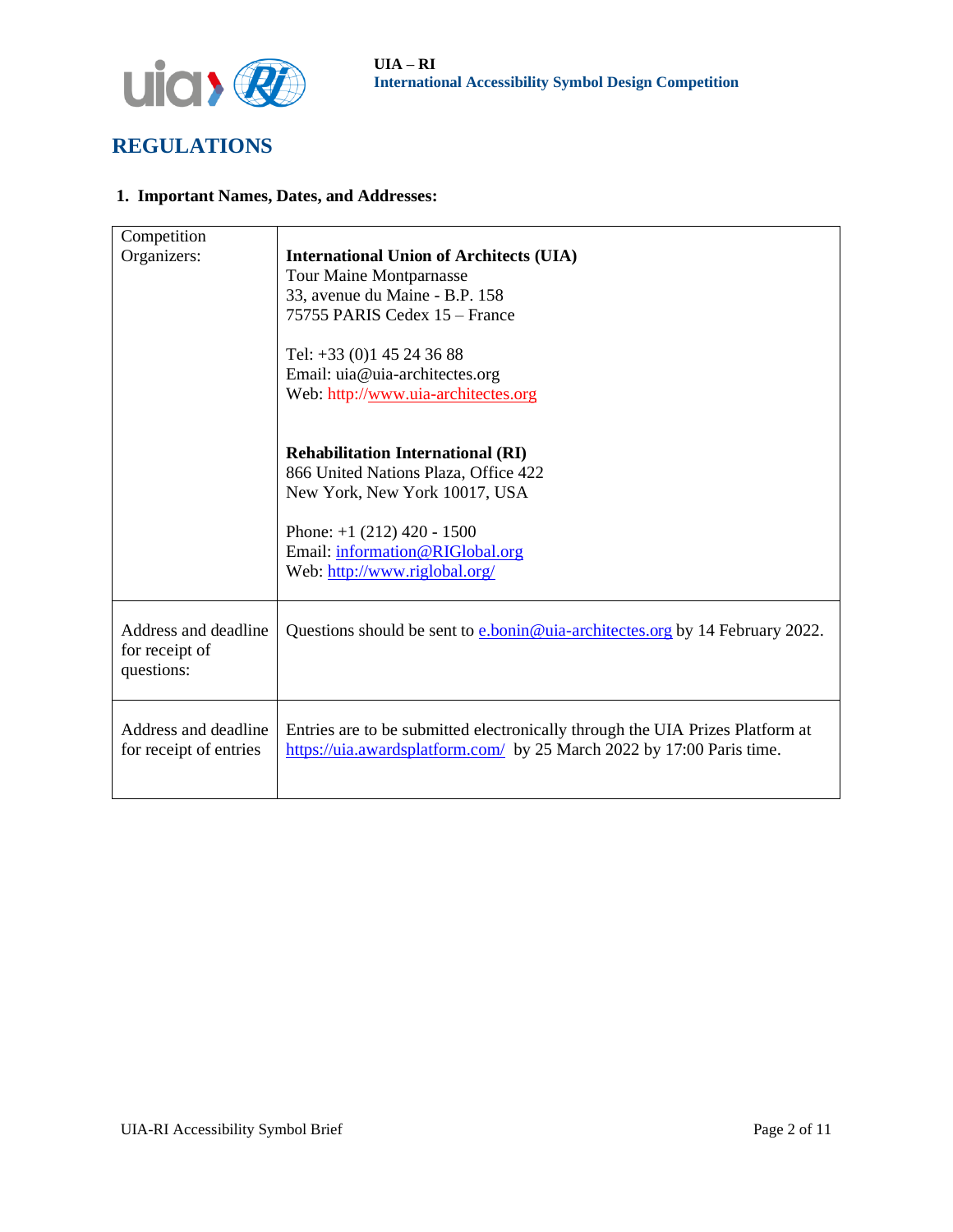

# <span id="page-4-0"></span>**REGULATIONS**

#### <span id="page-4-1"></span>**1. Important Names, Dates, and Addresses:**

| Competition                                          |                                                                                                                                                        |
|------------------------------------------------------|--------------------------------------------------------------------------------------------------------------------------------------------------------|
| Organizers:                                          | <b>International Union of Architects (UIA)</b>                                                                                                         |
|                                                      | <b>Tour Maine Montparnasse</b>                                                                                                                         |
|                                                      | 33, avenue du Maine - B.P. 158                                                                                                                         |
|                                                      | 75755 PARIS Cedex 15 - France                                                                                                                          |
|                                                      | Tel: $+33$ (0)1 45 24 36 88                                                                                                                            |
|                                                      | Email: uia@uia-architectes.org                                                                                                                         |
|                                                      | Web: http://www.uia-architectes.org                                                                                                                    |
|                                                      |                                                                                                                                                        |
|                                                      | <b>Rehabilitation International (RI)</b>                                                                                                               |
|                                                      | 866 United Nations Plaza, Office 422                                                                                                                   |
|                                                      | New York, New York 10017, USA                                                                                                                          |
|                                                      | Phone: $+1$ (212) 420 - 1500                                                                                                                           |
|                                                      | Email: information@RIGlobal.org                                                                                                                        |
|                                                      | Web: http://www.riglobal.org/                                                                                                                          |
|                                                      |                                                                                                                                                        |
| Address and deadline<br>for receipt of<br>questions: | Questions should be sent to <b>e</b> bonin@uia-architectes.org by 14 February 2022.                                                                    |
|                                                      |                                                                                                                                                        |
| Address and deadline<br>for receipt of entries       | Entries are to be submitted electronically through the UIA Prizes Platform at<br>https://uia.awardsplatform.com/ by 25 March 2022 by 17:00 Paris time. |
|                                                      |                                                                                                                                                        |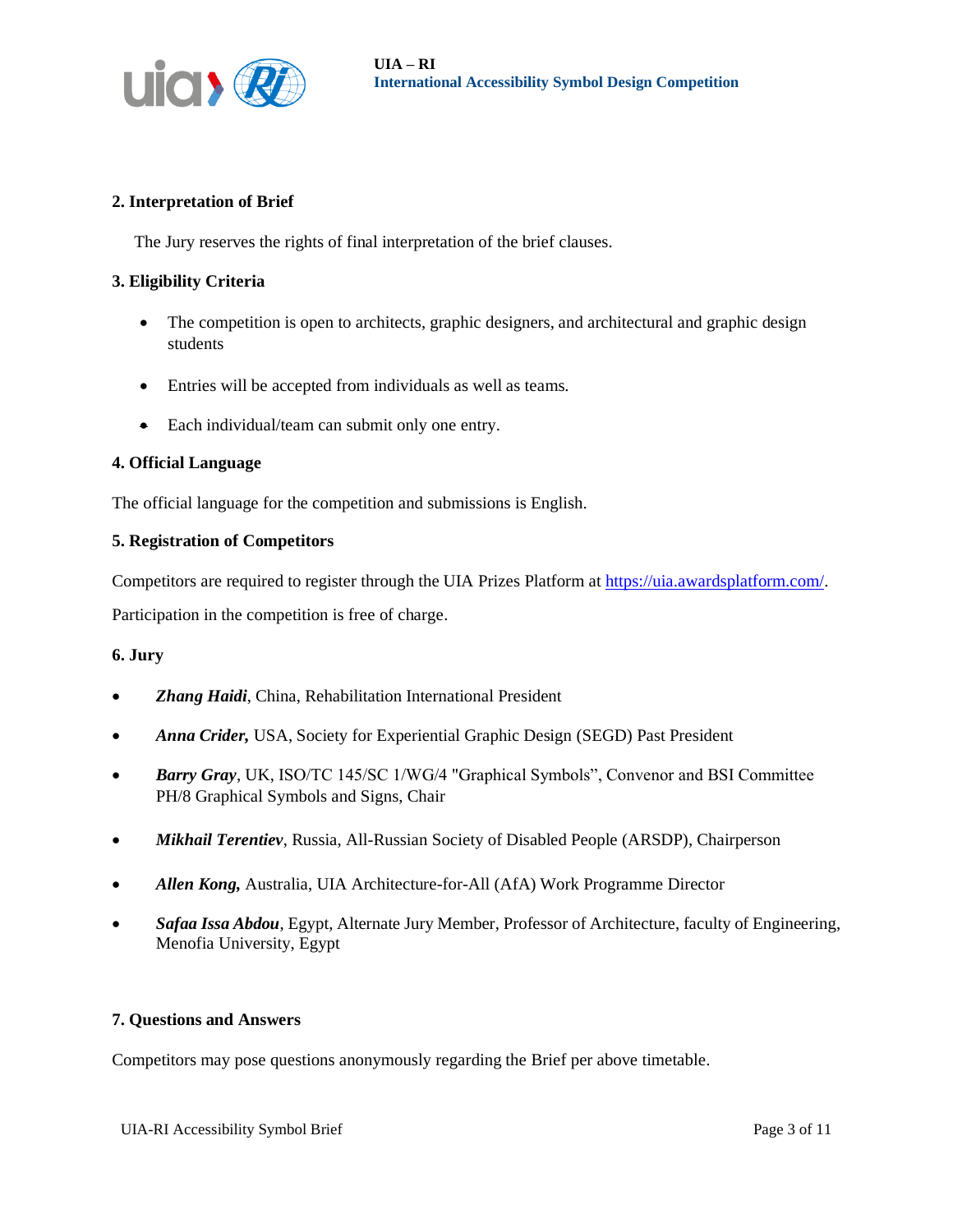

#### <span id="page-5-0"></span>**2. Interpretation of Brief**

The Jury reserves the rights of final interpretation of the brief clauses.

#### <span id="page-5-1"></span>**3. Eligibility Criteria**

- The competition is open to architects, graphic designers, and architectural and graphic design students
- Entries will be accepted from individuals as well as teams.
- Each individual/team can submit only one entry.

#### <span id="page-5-2"></span>**4. Official Language**

The official language for the competition and submissions is English.

#### <span id="page-5-3"></span>**5. Registration of Competitors**

Competitors are required to register through the UIA Prizes Platform at [https://uia.awardsplatform.com/.](https://uia.awardsplatform.com/) Participation in the competition is free of charge.

#### <span id="page-5-4"></span>**6. Jury**

- *Zhang Haidi*, China, Rehabilitation International President
- *Anna Crider,* USA, Society for Experiential Graphic Design (SEGD) Past President
- *Barry Gray*, UK, ISO/TC 145/SC 1/WG/4 "Graphical Symbols", Convenor and BSI Committee PH/8 Graphical Symbols and Signs, Chair
- *Mikhail Terentiev*, Russia, All-Russian Society of Disabled People (ARSDP), Chairperson
- *Allen Kong, Australia, UIA Architecture-for-All (AfA) Work Programme Director*
- *Safaa Issa Abdou*, Egypt, Alternate Jury Member, Professor of Architecture, faculty of Engineering, Menofia University, Egypt

#### <span id="page-5-5"></span>**7. Questions and Answers**

<span id="page-5-6"></span>Competitors may pose questions anonymously regarding the Brief per above timetable.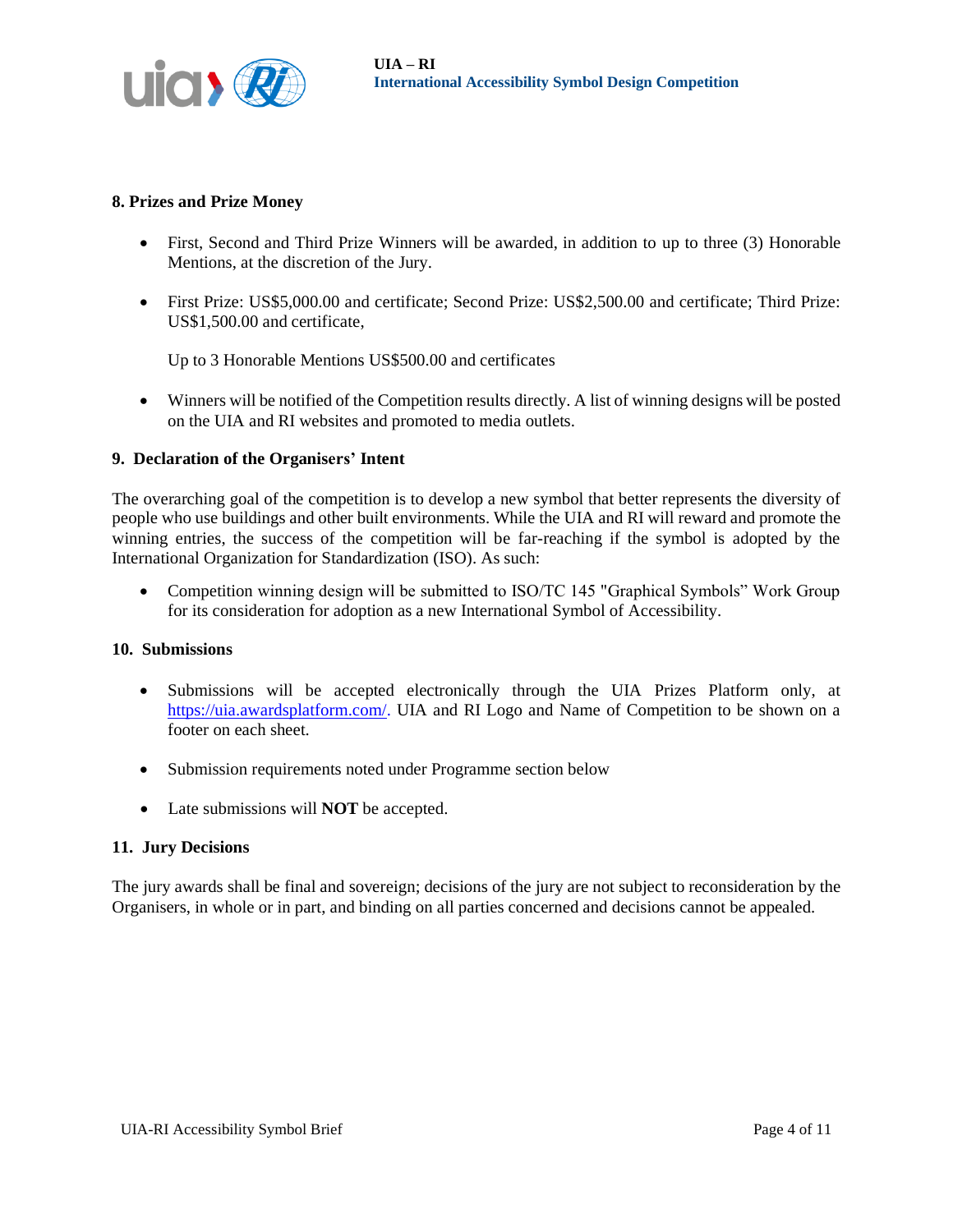

#### **8. Prizes and Prize Money**

- First, Second and Third Prize Winners will be awarded, in addition to up to three (3) Honorable Mentions, at the discretion of the Jury.
- First Prize: US\$5,000.00 and certificate; Second Prize: US\$2,500.00 and certificate; Third Prize: US\$1,500.00 and certificate,

Up to 3 Honorable Mentions US\$500.00 and certificates

• Winners will be notified of the Competition results directly. A list of winning designs will be posted on the UIA and RI websites and promoted to media outlets.

#### <span id="page-6-0"></span>**9. Declaration of the Organisers' Intent**

The overarching goal of the competition is to develop a new symbol that better represents the diversity of people who use buildings and other built environments. While the UIA and RI will reward and promote the winning entries, the success of the competition will be far-reaching if the symbol is adopted by the International Organization for Standardization (ISO). As such:

• Competition winning design will be submitted to ISO/TC 145 "Graphical Symbols" Work Group for its consideration for adoption as a new International Symbol of Accessibility.

#### <span id="page-6-1"></span>**10. Submissions**

- Submissions will be accepted electronically through the UIA Prizes Platform only, at [https://uia.awardsplatform.com/.](https://uia.awardsplatform.com/) UIA and RI Logo and Name of Competition to be shown on a footer on each sheet.
- Submission requirements noted under Programme section below
- Late submissions will **NOT** be accepted.

#### <span id="page-6-2"></span>**11. Jury Decisions**

The jury awards shall be final and sovereign; decisions of the jury are not subject to reconsideration by the Organisers, in whole or in part, and binding on all parties concerned and decisions cannot be appealed.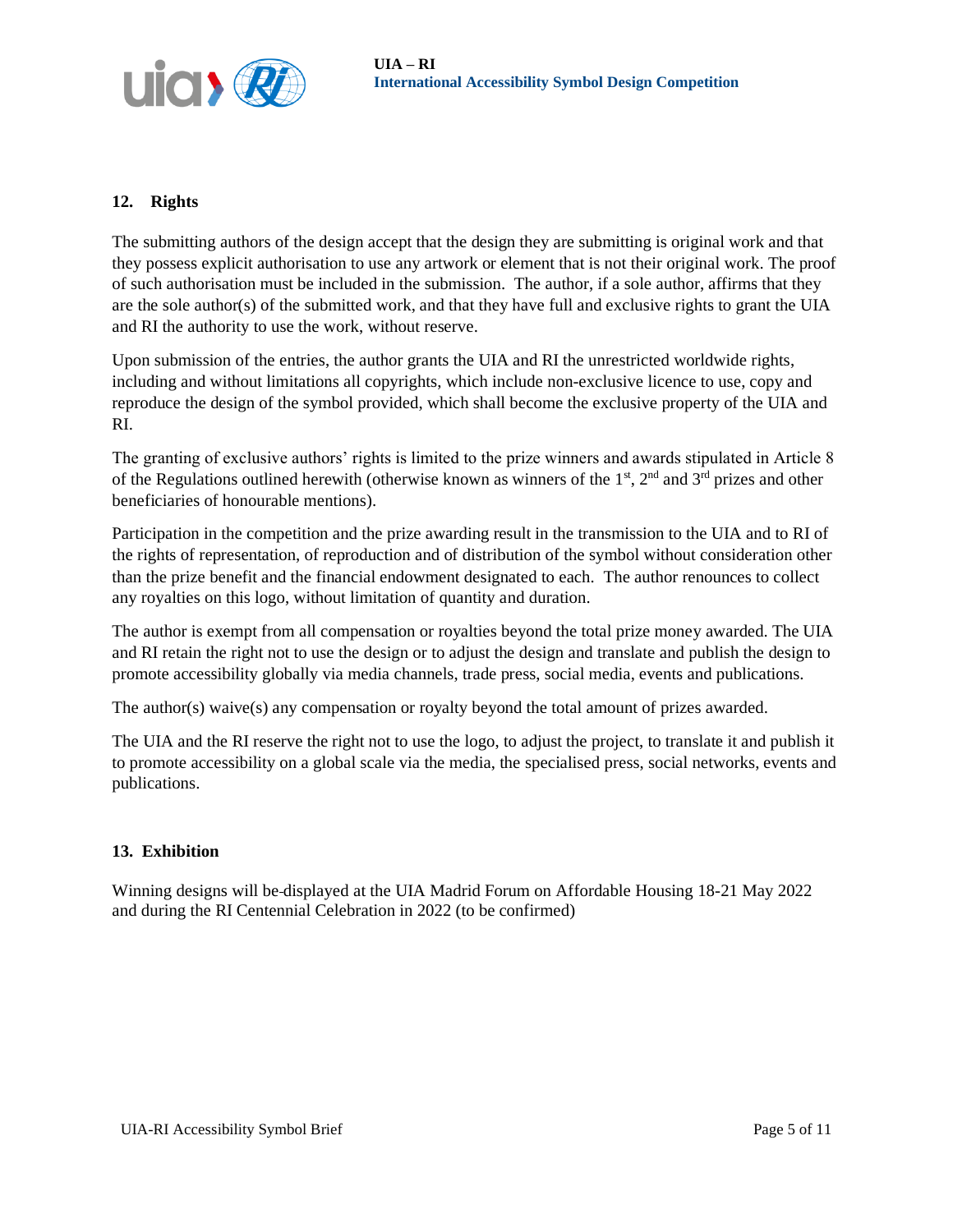

# <span id="page-7-0"></span>**12. Rights**

The submitting authors of the design accept that the design they are submitting is original work and that they possess explicit authorisation to use any artwork or element that is not their original work. The proof of such authorisation must be included in the submission. The author, if a sole author, affirms that they are the sole author(s) of the submitted work, and that they have full and exclusive rights to grant the UIA and RI the authority to use the work, without reserve.

Upon submission of the entries, the author grants the UIA and RI the unrestricted worldwide rights, including and without limitations all copyrights, which include non-exclusive licence to use, copy and reproduce the design of the symbol provided, which shall become the exclusive property of the UIA and RI.

The granting of exclusive authors' rights is limited to the prize winners and awards stipulated in Article 8 of the Regulations outlined herewith (otherwise known as winners of the  $1<sup>st</sup>$ ,  $2<sup>nd</sup>$  and  $3<sup>rd</sup>$  prizes and other beneficiaries of honourable mentions).

Participation in the competition and the prize awarding result in the transmission to the UIA and to RI of the rights of representation, of reproduction and of distribution of the symbol without consideration other than the prize benefit and the financial endowment designated to each. The author renounces to collect any royalties on this logo, without limitation of quantity and duration.

The author is exempt from all compensation or royalties beyond the total prize money awarded. The UIA and RI retain the right not to use the design or to adjust the design and translate and publish the design to promote accessibility globally via media channels, trade press, social media, events and publications.

The author(s) waive(s) any compensation or royalty beyond the total amount of prizes awarded.

The UIA and the RI reserve the right not to use the logo, to adjust the project, to translate it and publish it to promote accessibility on a global scale via the media, the specialised press, social networks, events and publications.

#### **13. Exhibition**

Winning designs will be displayed at the UIA Madrid Forum on Affordable Housing 18-21 May 2022 and during the RI Centennial Celebration in 2022 (to be confirmed)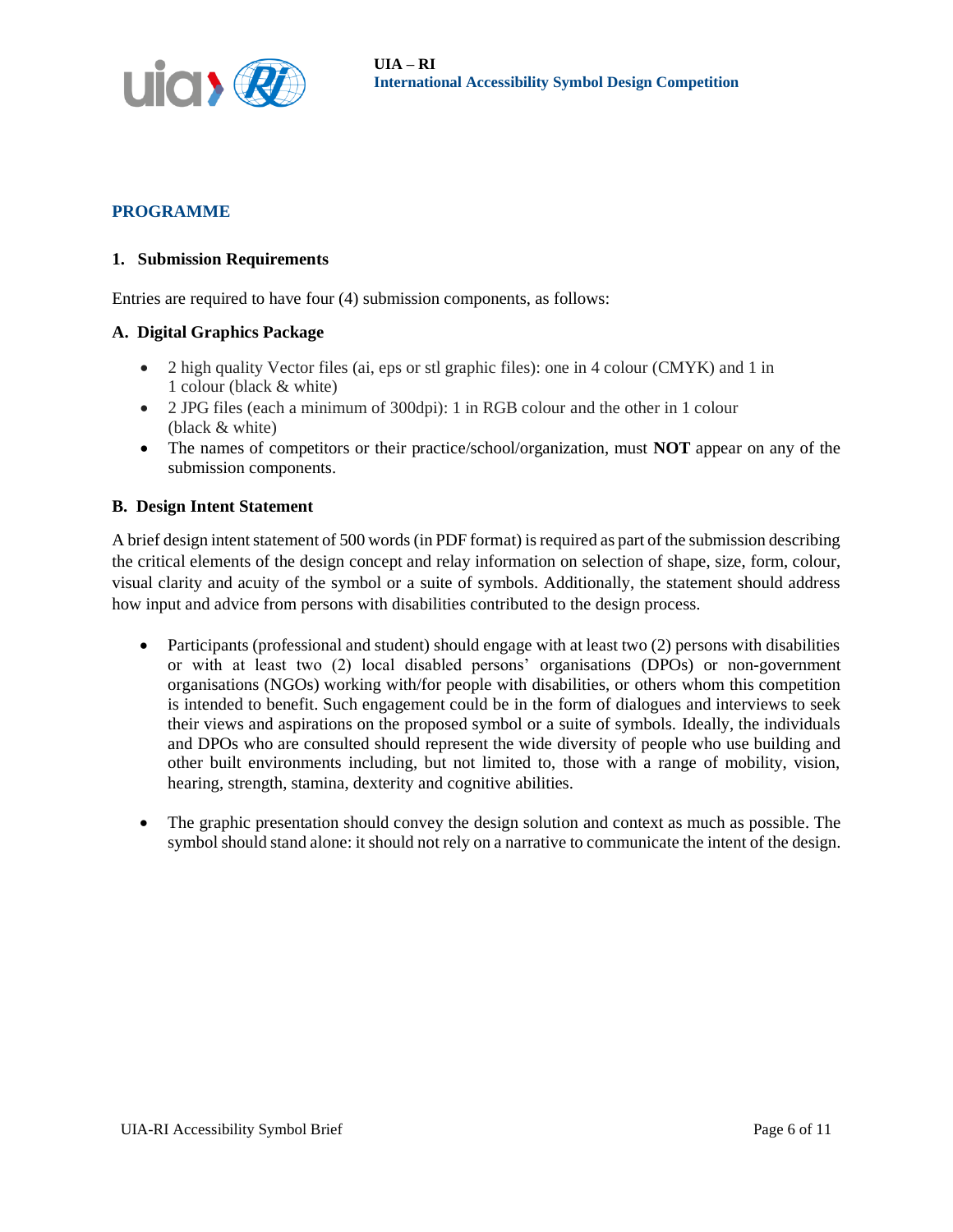

# <span id="page-8-0"></span>**PROGRAMME**

#### <span id="page-8-1"></span>**1. Submission Requirements**

Entries are required to have four (4) submission components, as follows:

#### **A. Digital Graphics Package**

- 2 high quality Vector files (ai, eps or stl graphic files): one in 4 colour (CMYK) and 1 in 1 colour (black & white)
- 2 JPG files (each a minimum of 300dpi): 1 in RGB colour and the other in 1 colour (black & white)
- The names of competitors or their practice/school/organization, must **NOT** appear on any of the submission components.

#### **B. Design Intent Statement**

A brief design intent statement of 500 words (in PDF format) is required as part of the submission describing the critical elements of the design concept and relay information on selection of shape, size, form, colour, visual clarity and acuity of the symbol or a suite of symbols. Additionally, the statement should address how input and advice from persons with disabilities contributed to the design process.

- Participants (professional and student) should engage with at least two (2) persons with disabilities or with at least two (2) local disabled persons' organisations (DPOs) or non-government organisations (NGOs) working with/for people with disabilities, or others whom this competition is intended to benefit. Such engagement could be in the form of dialogues and interviews to seek their views and aspirations on the proposed symbol or a suite of symbols. Ideally, the individuals and DPOs who are consulted should represent the wide diversity of people who use building and other built environments including, but not limited to, those with a range of mobility, vision, hearing, strength, stamina, dexterity and cognitive abilities.
- The graphic presentation should convey the design solution and context as much as possible. The symbol should stand alone: it should not rely on a narrative to communicate the intent of the design.